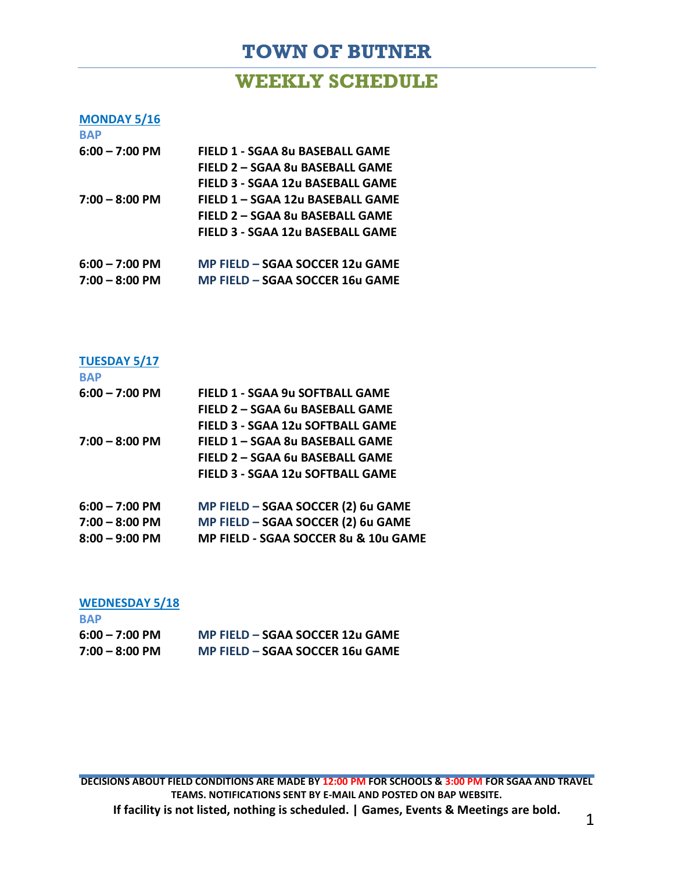# **TOWN OF BUTNER**

### **WEEKLY SCHEDULE**

#### **MONDAY 5/16**

| <b>BAP</b>       |                                        |
|------------------|----------------------------------------|
| $6:00 - 7:00$ PM | <b>FIELD 1 - SGAA 8u BASEBALL GAME</b> |
|                  | FIELD 2 - SGAA 8u BASEBALL GAME        |
|                  | FIELD 3 - SGAA 12u BASEBALL GAME       |
| $7:00 - 8:00$ PM | FIELD 1 - SGAA 12u BASEBALL GAME       |
|                  | FIELD 2 - SGAA 8u BASEBALL GAME        |
|                  | FIELD 3 - SGAA 12u BASEBALL GAME       |
| $6:00 - 7:00$ PM | MP FIELD - SGAA SOCCER 12u GAME        |
| $7:00 - 8:00$ PM | MP FIELD - SGAA SOCCER 16u GAME        |

## **TUESDAY 5/17**

| <b>BAP</b>               |                                         |
|--------------------------|-----------------------------------------|
| $6:00 - 7:00$ PM         | FIELD 1 - SGAA 9u SOFTBALL GAME         |
|                          | FIELD 2 - SGAA 6u BASEBALL GAME         |
|                          | <b>FIELD 3 - SGAA 12u SOFTBALL GAME</b> |
| $7:00 - 8:00 \text{ PM}$ | FIELD 1 - SGAA 8u BASEBALL GAME         |
|                          | FIELD 2 - SGAA 6u BASEBALL GAME         |
|                          | FIELD 3 - SGAA 12u SOFTBALL GAME        |
| $6:00 - 7:00$ PM         | MP FIELD - SGAA SOCCER (2) 6u GAME      |
| $7:00 - 8:00$ PM         | MP FIELD - SGAA SOCCER (2) 6u GAME      |
| $8:00 - 9:00$ PM         | MP FIELD - SGAA SOCCER 8u & 10u GAME    |
|                          |                                         |

# **WEDNESDAY 5/18**

| <b>BAP</b>       |                                 |
|------------------|---------------------------------|
| $6:00 - 7:00$ PM | MP FIELD – SGAA SOCCER 12u GAME |
| $7:00 - 8:00$ PM | MP FIELD – SGAA SOCCER 16u GAME |

**DECISIONS ABOUT FIELD CONDITIONS ARE MADE BY 12:00 PM FOR SCHOOLS & 3:00 PM FOR SGAA AND TRAVEL TEAMS. NOTIFICATIONS SENT BY E-MAIL AND POSTED ON BAP WEBSITE. If facility is not listed, nothing is scheduled. | Games, Events & Meetings are bold.** 1